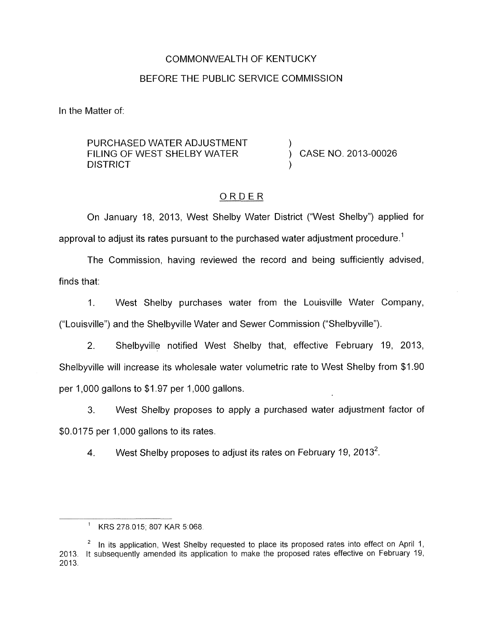## COMMONWEALTH OF KENTUCKY

## BEFORE THE PUBLIC SERVICE COMMISSION

In the Matter of:

PURCHASED WATER ADJUSTMENT FILING OF WEST SHELBY WATER  $\overrightarrow{)}$  CASE NO. 2013-00026 **DISTRICT** 

# ORDER

On January 18, 2013, West Shelby Water District ("West Shelby") applied for approval to adjust its rates pursuant to the purchased water adjustment procedure.<sup>1</sup>

The Commission, having reviewed the record and being sufficiently advised, finds that:

1. West Shelby purchases water from the Louisville Water Company, ("Louisville") and the Shelbyville Water and Sewer Commission ("Shelbyville").

2. Shelbyville notified West Shelby that, effective February 19, 2013, Shelbyville will increase its wholesale water volumetric rate to West Shelby from \$1.90 per 1,000 gallons to  $$1.97$  per 1,000 gallons.

**3.** West Shelby proposes to apply a purchased water adjustment factor of \$0.0175 per 1,000 gallons to its rates.

**4.** West Shelby proposes to adjust its rates on February 19, 2013\*.

<sup>&#</sup>x27; KRS 278 015; 807 KAR 51068

In its application, West Shelby requested to place its proposed rates into effect on April 1, 2013. It subsequently amended its application to make the proposed rates effective on February 19, 2013. **2**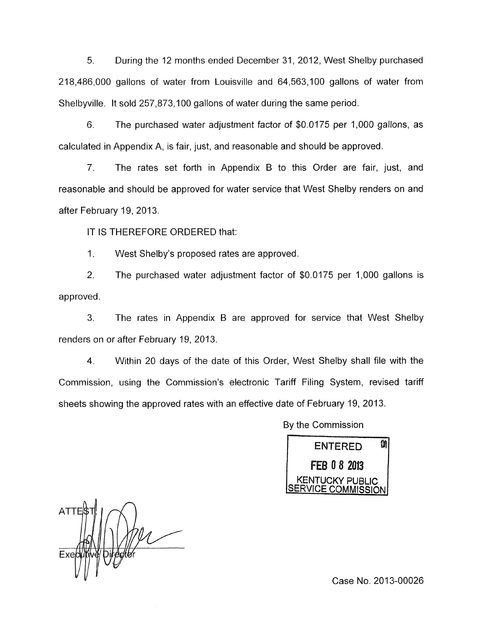*5.* During the 12 months ended December 31, 2012, West Shelby purchased 218,486,000 gallons of water from Louisville and 64,563,100 gallons of water from Shelbyville. It sold 257,873,100 gallons of water during the same period.

6. The purchased water adjustment factor of \$0.0175 per 1,000 gallons, as calculated in Appendix A, is fair, just, and reasonable and should be approved.

7. The rates set forth in Appendix B to this Order are fair, just, and reasonable and should be approved for water service that West Shelby renders on and after February 19, 2013.

IT IS THEREFORE ORDERED that:

1. West Shelby's proposed rates are approved.

2. The purchased water adjustment factor of \$0.0175 per 1,000 gallons is approved.

3. The rates in Appendix B are approved for service that West Shelby renders on or after February 19, 2013.

4. Within 20 days of the date of this Order, West Shelby shall file with the Commission, using the Commission's electronic Tariff Filing System, revised tariff sheets showing the approved rates with an effective date of February 19, 2013.

By the Commission



ATTES

Case No. 2013-00026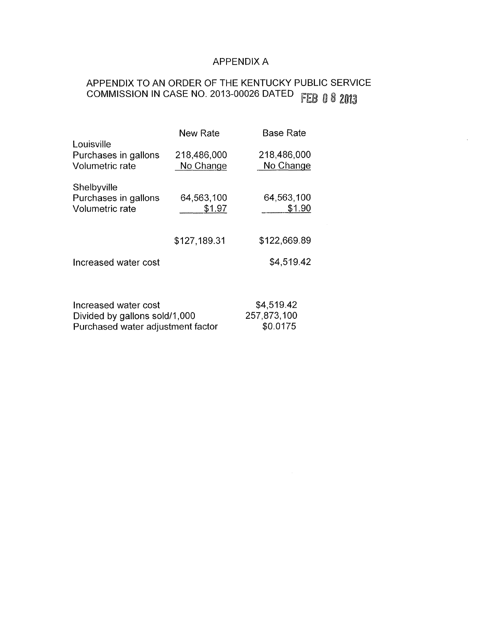# **APPENDIX A**

# APPENDIX TO AN ORDER OF THE KENTUCKY PUBLIC SERVICE COMMISSION IN CASE NO. 2013-00026 DATED FEB 0 8 2013

|                                                        | <b>New Rate</b>          | Base Rate                |
|--------------------------------------------------------|--------------------------|--------------------------|
| Louisville<br>Purchases in gallons<br>Volumetric rate  | 218,486,000<br>No Change | 218,486,000<br>No Change |
| Shelbyville<br>Purchases in gallons<br>Volumetric rate | 64,563,100<br>\$1.97     | 64,563,100<br>\$1.90     |
|                                                        | \$127,189.31             | \$122,669.89             |
| Increased water cost                                   |                          | \$4,519.42               |
|                                                        |                          |                          |
| Increased water cost                                   | \$4,519.42               |                          |
| Divided by gallons sold/1,000                          | 257,873,100              |                          |
| Purchased water adjustment factor                      | \$0.0175                 |                          |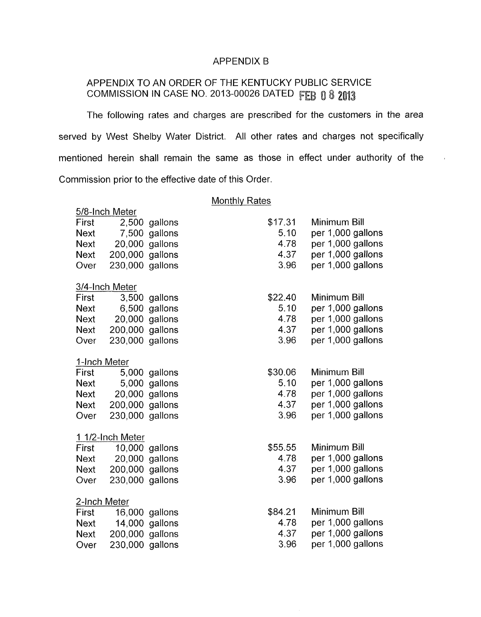### APPENDIX B

# APPENDIX TO AN ORDER OF THE KENTUCKY PUBLIC SERVICE COMMISSION IN CASE NO. 2013-00026 DATED FEB 0 8 2013

The following rates and charges are prescribed for the customers in the area served by West Shelby Water District. All other rates and charges not specifically mentioned herein shall remain the same as those in effect under authority of the Commission prior to the effective date of this Order.

 $\mathbf{r}$ 

#### Monthly Rates

5/8-lnch Meter

| First        |                  | 2,500 gallons  | \$17.31 | Minimum Bill      |
|--------------|------------------|----------------|---------|-------------------|
| <b>Next</b>  |                  | 7,500 gallons  | 5.10    | per 1,000 gallons |
| <b>Next</b>  |                  | 20,000 gallons | 4.78    | per 1,000 gallons |
| <b>Next</b>  | 200,000          | gallons        | 4.37    | per 1,000 gallons |
| Over         | 230,000 gallons  |                | 3.96    | per 1,000 gallons |
|              | 3/4-Inch Meter   |                |         |                   |
| First        |                  | 3,500 gallons  | \$22.40 | Minimum Bill      |
| <b>Next</b>  | 6,500            | gallons        | 5.10    | per 1,000 gallons |
| <b>Next</b>  |                  | 20,000 gallons | 4.78    | per 1,000 gallons |
| <b>Next</b>  | 200,000 gallons  |                | 4.37    | per 1,000 gallons |
| Over         |                  |                | 3.96    | per 1,000 gallons |
|              | 230,000 gallons  |                |         |                   |
| 1-Inch Meter |                  |                |         |                   |
| First        |                  | 5,000 gallons  | \$30.06 | Minimum Bill      |
| <b>Next</b>  |                  | 5,000 gallons  | 5.10    | per 1,000 gallons |
| <b>Next</b>  |                  | 20,000 gallons | 4.78    | per 1,000 gallons |
| <b>Next</b>  | 200,000 gallons  |                | 4.37    | per 1,000 gallons |
| Over         | 230,000 gallons  |                | 3.96    | per 1,000 gallons |
|              | 1 1/2-Inch Meter |                |         |                   |
| First        |                  | 10,000 gallons | \$55.55 | Minimum Bill      |
| <b>Next</b>  |                  | 20,000 gallons | 4.78    | per 1,000 gallons |
| <b>Next</b>  | 200,000 gallons  |                | 4.37    | per 1,000 gallons |
| Over         | 230,000 gallons  |                | 3.96    | per 1,000 gallons |
|              |                  |                |         |                   |
| 2-Inch Meter |                  |                |         |                   |
| First        |                  | 16,000 gallons | \$84.21 | Minimum Bill      |
| <b>Next</b>  |                  | 14,000 gallons | 4.78    | per 1,000 gallons |
| <b>Next</b>  | 200,000 gallons  |                | 4.37    | per 1,000 gallons |
| Over         | 230,000 gallons  |                | 3.96    | per 1,000 gallons |
|              |                  |                |         |                   |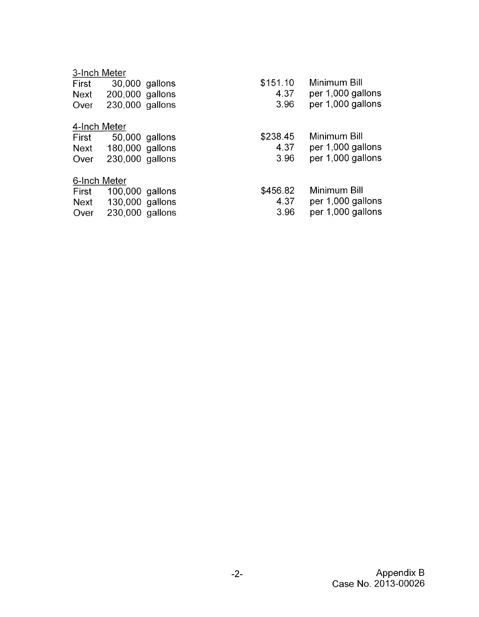# 3-Inch Meter

| First        | 30,000 gallons  |  | \$151.10 | Minimum Bill      |  |  |  |  |
|--------------|-----------------|--|----------|-------------------|--|--|--|--|
| <b>Next</b>  | 200,000 gallons |  | 4.37     | per 1,000 gallons |  |  |  |  |
| Over         | 230,000 gallons |  | 3.96     | per 1,000 gallons |  |  |  |  |
| 4-Inch Meter |                 |  |          |                   |  |  |  |  |
| First        | 50,000 gallons  |  | \$238.45 | Minimum Bill      |  |  |  |  |
| Next         | 180,000 gallons |  | 4.37     | per 1,000 gallons |  |  |  |  |
| Over         | 230,000 gallons |  | 3.96     | per 1,000 gallons |  |  |  |  |
| 6-Inch Meter |                 |  |          |                   |  |  |  |  |
| First        | 100,000 gallons |  | \$456.82 | Minimum Bill      |  |  |  |  |
| Next         | 130,000 gallons |  | 4.37     | per 1,000 gallons |  |  |  |  |
| Over         | 230,000 gallons |  | 3.96     | per 1,000 gallons |  |  |  |  |